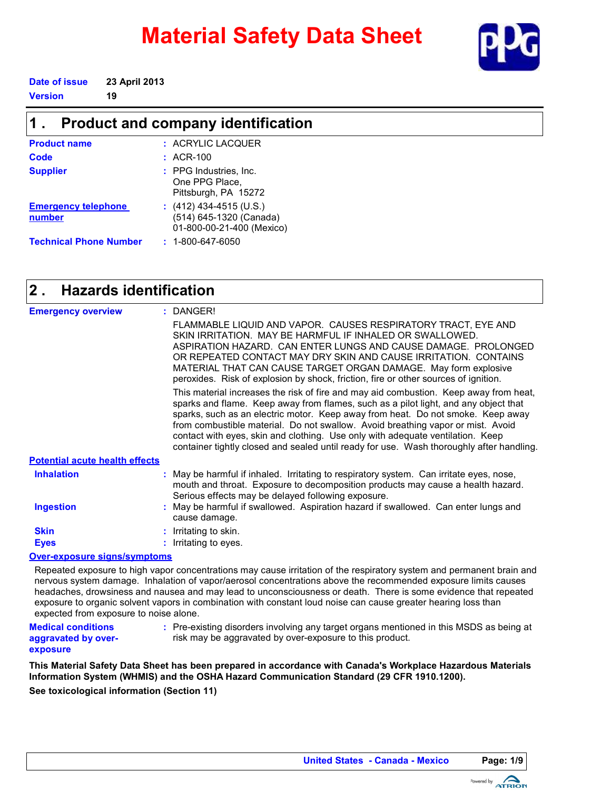# **Material Safety Data Sheet**



**Date of issue 23 April 2013**

**Version 19**

#### **Product and company identification 1 .**

| <b>Product name</b>                  | : ACRYLIC LACQUER                                                               |
|--------------------------------------|---------------------------------------------------------------------------------|
| Code                                 | $:$ ACR-100                                                                     |
| <b>Supplier</b>                      | : PPG Industries, Inc.<br>One PPG Place,<br>Pittsburgh, PA 15272                |
| <b>Emergency telephone</b><br>number | $(412)$ 434-4515 (U.S.)<br>(514) 645-1320 (Canada)<br>01-800-00-21-400 (Mexico) |
| <b>Technical Phone Number</b>        | $: 1 - 800 - 647 - 6050$                                                        |

#### **Hazards identification 2 .**

| <b>Emergency overview</b>             | : DANGER!                                                                                                                                                                                                                                                                                                                                                                                                                                                                                                                        |
|---------------------------------------|----------------------------------------------------------------------------------------------------------------------------------------------------------------------------------------------------------------------------------------------------------------------------------------------------------------------------------------------------------------------------------------------------------------------------------------------------------------------------------------------------------------------------------|
|                                       | FLAMMABLE LIQUID AND VAPOR. CAUSES RESPIRATORY TRACT. EYE AND<br>SKIN IRRITATION. MAY BE HARMEUL IF INHALED OR SWALLOWED.<br>ASPIRATION HAZARD. CAN ENTER LUNGS AND CAUSE DAMAGE. PROLONGED<br>OR REPEATED CONTACT MAY DRY SKIN AND CAUSE IRRITATION. CONTAINS<br>MATERIAL THAT CAN CAUSE TARGET ORGAN DAMAGE. May form explosive<br>peroxides. Risk of explosion by shock, friction, fire or other sources of ignition.                                                                                                         |
|                                       | This material increases the risk of fire and may aid combustion. Keep away from heat,<br>sparks and flame. Keep away from flames, such as a pilot light, and any object that<br>sparks, such as an electric motor. Keep away from heat. Do not smoke. Keep away<br>from combustible material. Do not swallow. Avoid breathing vapor or mist. Avoid<br>contact with eyes, skin and clothing. Use only with adequate ventilation. Keep<br>container tightly closed and sealed until ready for use. Wash thoroughly after handling. |
| <b>Potential acute health effects</b> |                                                                                                                                                                                                                                                                                                                                                                                                                                                                                                                                  |
| <b>Inhalation</b>                     | : May be harmful if inhaled. Irritating to respiratory system. Can irritate eyes, nose,<br>mouth and throat. Exposure to decomposition products may cause a health hazard.<br>Serious effects may be delayed following exposure.                                                                                                                                                                                                                                                                                                 |
| <b>Ingestion</b>                      | : May be harmful if swallowed. Aspiration hazard if swallowed. Can enter lungs and<br>cause damage.                                                                                                                                                                                                                                                                                                                                                                                                                              |
| <b>Skin</b>                           | : Irritating to skin.                                                                                                                                                                                                                                                                                                                                                                                                                                                                                                            |
| <b>Eyes</b>                           | : Irritating to eyes.                                                                                                                                                                                                                                                                                                                                                                                                                                                                                                            |
|                                       |                                                                                                                                                                                                                                                                                                                                                                                                                                                                                                                                  |

#### **Over-exposure signs/symptoms**

Repeated exposure to high vapor concentrations may cause irritation of the respiratory system and permanent brain and nervous system damage. Inhalation of vapor/aerosol concentrations above the recommended exposure limits causes headaches, drowsiness and nausea and may lead to unconsciousness or death. There is some evidence that repeated exposure to organic solvent vapors in combination with constant loud noise can cause greater hearing loss than expected from exposure to noise alone.

**Medical conditions aggravated by over-** Pre-existing disorders involving any target organs mentioned in this MSDS as being at **:** risk may be aggravated by over-exposure to this product.

### **exposure**

**This Material Safety Data Sheet has been prepared in accordance with Canada's Workplace Hazardous Materials Information System (WHMIS) and the OSHA Hazard Communication Standard (29 CFR 1910.1200).**

**See toxicological information (Section 11)**

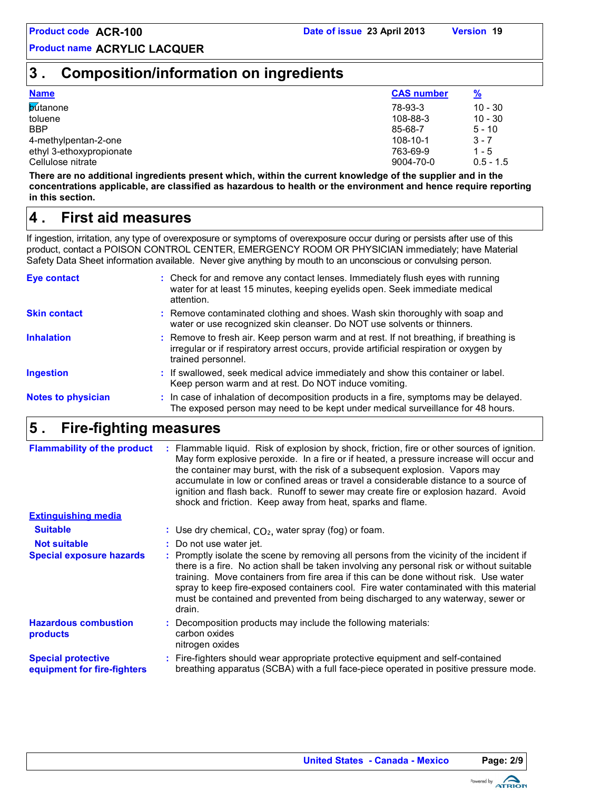## **3 . Composition/information on ingredients**

| <b>Name</b>              | <b>CAS number</b> | <u>%</u>    |
|--------------------------|-------------------|-------------|
| <b>butanone</b>          | 78-93-3           | $10 - 30$   |
| toluene                  | 108-88-3          | $10 - 30$   |
| <b>BBP</b>               | 85-68-7           | $5 - 10$    |
| 4-methylpentan-2-one     | 108-10-1          | $3 - 7$     |
| ethyl 3-ethoxypropionate | 763-69-9          | $1 - 5$     |
| Cellulose nitrate        | 9004-70-0         | $0.5 - 1.5$ |

**There are no additional ingredients present which, within the current knowledge of the supplier and in the concentrations applicable, are classified as hazardous to health or the environment and hence require reporting in this section.**

#### **First aid measures 4 .**

If ingestion, irritation, any type of overexposure or symptoms of overexposure occur during or persists after use of this product, contact a POISON CONTROL CENTER, EMERGENCY ROOM OR PHYSICIAN immediately; have Material Safety Data Sheet information available. Never give anything by mouth to an unconscious or convulsing person.

| <b>Eye contact</b>        | : Check for and remove any contact lenses. Immediately flush eyes with running<br>water for at least 15 minutes, keeping eyelids open. Seek immediate medical<br>attention.                            |
|---------------------------|--------------------------------------------------------------------------------------------------------------------------------------------------------------------------------------------------------|
| <b>Skin contact</b>       | : Remove contaminated clothing and shoes. Wash skin thoroughly with soap and<br>water or use recognized skin cleanser. Do NOT use solvents or thinners.                                                |
| <b>Inhalation</b>         | : Remove to fresh air. Keep person warm and at rest. If not breathing, if breathing is<br>irregular or if respiratory arrest occurs, provide artificial respiration or oxygen by<br>trained personnel. |
| <b>Ingestion</b>          | : If swallowed, seek medical advice immediately and show this container or label.<br>Keep person warm and at rest. Do NOT induce vomiting.                                                             |
| <b>Notes to physician</b> | : In case of inhalation of decomposition products in a fire, symptoms may be delayed.<br>The exposed person may need to be kept under medical surveillance for 48 hours.                               |

#### **Fire-fighting measures 5 .**

| <b>Flammability of the product</b>                       | Flammable liquid. Risk of explosion by shock, friction, fire or other sources of ignition.<br>May form explosive peroxide. In a fire or if heated, a pressure increase will occur and<br>the container may burst, with the risk of a subsequent explosion. Vapors may<br>accumulate in low or confined areas or travel a considerable distance to a source of<br>ignition and flash back. Runoff to sewer may create fire or explosion hazard. Avoid<br>shock and friction. Keep away from heat, sparks and flame. |
|----------------------------------------------------------|--------------------------------------------------------------------------------------------------------------------------------------------------------------------------------------------------------------------------------------------------------------------------------------------------------------------------------------------------------------------------------------------------------------------------------------------------------------------------------------------------------------------|
| <b>Extinguishing media</b>                               |                                                                                                                                                                                                                                                                                                                                                                                                                                                                                                                    |
| <b>Suitable</b>                                          | : Use dry chemical, $CO2$ , water spray (fog) or foam.                                                                                                                                                                                                                                                                                                                                                                                                                                                             |
| <b>Not suitable</b>                                      | : Do not use water jet.                                                                                                                                                                                                                                                                                                                                                                                                                                                                                            |
| <b>Special exposure hazards</b>                          | : Promptly isolate the scene by removing all persons from the vicinity of the incident if<br>there is a fire. No action shall be taken involving any personal risk or without suitable<br>training. Move containers from fire area if this can be done without risk. Use water<br>spray to keep fire-exposed containers cool. Fire water contaminated with this material<br>must be contained and prevented from being discharged to any waterway, sewer or<br>drain.                                              |
| <b>Hazardous combustion</b><br>products                  | : Decomposition products may include the following materials:<br>carbon oxides<br>nitrogen oxides                                                                                                                                                                                                                                                                                                                                                                                                                  |
| <b>Special protective</b><br>equipment for fire-fighters | : Fire-fighters should wear appropriate protective equipment and self-contained<br>breathing apparatus (SCBA) with a full face-piece operated in positive pressure mode.                                                                                                                                                                                                                                                                                                                                           |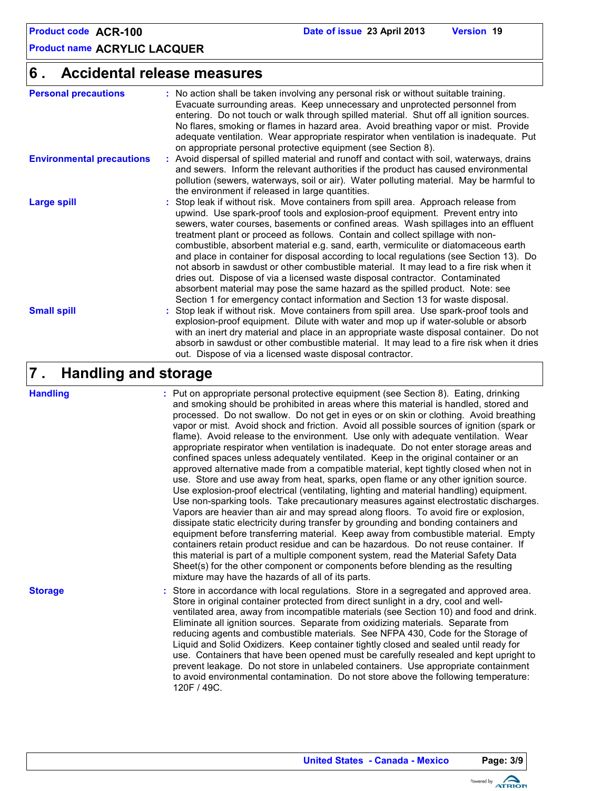#### **Accidental release measures 6 .**

| <b>Personal precautions</b>      | : No action shall be taken involving any personal risk or without suitable training.<br>Evacuate surrounding areas. Keep unnecessary and unprotected personnel from<br>entering. Do not touch or walk through spilled material. Shut off all ignition sources.<br>No flares, smoking or flames in hazard area. Avoid breathing vapor or mist. Provide<br>adequate ventilation. Wear appropriate respirator when ventilation is inadequate. Put<br>on appropriate personal protective equipment (see Section 8).                                                                                                                                                                                                                                                                                                                                                                |
|----------------------------------|--------------------------------------------------------------------------------------------------------------------------------------------------------------------------------------------------------------------------------------------------------------------------------------------------------------------------------------------------------------------------------------------------------------------------------------------------------------------------------------------------------------------------------------------------------------------------------------------------------------------------------------------------------------------------------------------------------------------------------------------------------------------------------------------------------------------------------------------------------------------------------|
| <b>Environmental precautions</b> | : Avoid dispersal of spilled material and runoff and contact with soil, waterways, drains<br>and sewers. Inform the relevant authorities if the product has caused environmental<br>pollution (sewers, waterways, soil or air). Water polluting material. May be harmful to<br>the environment if released in large quantities.                                                                                                                                                                                                                                                                                                                                                                                                                                                                                                                                                |
| <b>Large spill</b>               | : Stop leak if without risk. Move containers from spill area. Approach release from<br>upwind. Use spark-proof tools and explosion-proof equipment. Prevent entry into<br>sewers, water courses, basements or confined areas. Wash spillages into an effluent<br>treatment plant or proceed as follows. Contain and collect spillage with non-<br>combustible, absorbent material e.g. sand, earth, vermiculite or diatomaceous earth<br>and place in container for disposal according to local regulations (see Section 13). Do<br>not absorb in sawdust or other combustible material. It may lead to a fire risk when it<br>dries out. Dispose of via a licensed waste disposal contractor. Contaminated<br>absorbent material may pose the same hazard as the spilled product. Note: see<br>Section 1 for emergency contact information and Section 13 for waste disposal. |
| <b>Small spill</b>               | : Stop leak if without risk. Move containers from spill area. Use spark-proof tools and<br>explosion-proof equipment. Dilute with water and mop up if water-soluble or absorb<br>with an inert dry material and place in an appropriate waste disposal container. Do not<br>absorb in sawdust or other combustible material. It may lead to a fire risk when it dries<br>out. Dispose of via a licensed waste disposal contractor.                                                                                                                                                                                                                                                                                                                                                                                                                                             |

#### **Handling and storage 7 .**

#### **Handling**

**Storage**

Put on appropriate personal protective equipment (see Section 8). Eating, drinking **:** and smoking should be prohibited in areas where this material is handled, stored and processed. Do not swallow. Do not get in eyes or on skin or clothing. Avoid breathing vapor or mist. Avoid shock and friction. Avoid all possible sources of ignition (spark or flame). Avoid release to the environment. Use only with adequate ventilation. Wear appropriate respirator when ventilation is inadequate. Do not enter storage areas and confined spaces unless adequately ventilated. Keep in the original container or an approved alternative made from a compatible material, kept tightly closed when not in use. Store and use away from heat, sparks, open flame or any other ignition source. Use explosion-proof electrical (ventilating, lighting and material handling) equipment. Use non-sparking tools. Take precautionary measures against electrostatic discharges. Vapors are heavier than air and may spread along floors. To avoid fire or explosion, dissipate static electricity during transfer by grounding and bonding containers and equipment before transferring material. Keep away from combustible material. Empty containers retain product residue and can be hazardous. Do not reuse container. If this material is part of a multiple component system, read the Material Safety Data Sheet(s) for the other component or components before blending as the resulting mixture may have the hazards of all of its parts.

Store in accordance with local regulations. Store in a segregated and approved area. **:** Store in original container protected from direct sunlight in a dry, cool and wellventilated area, away from incompatible materials (see Section 10) and food and drink. Eliminate all ignition sources. Separate from oxidizing materials. Separate from reducing agents and combustible materials. See NFPA 430, Code for the Storage of Liquid and Solid Oxidizers. Keep container tightly closed and sealed until ready for use. Containers that have been opened must be carefully resealed and kept upright to prevent leakage. Do not store in unlabeled containers. Use appropriate containment to avoid environmental contamination. Do not store above the following temperature: 120F / 49C.

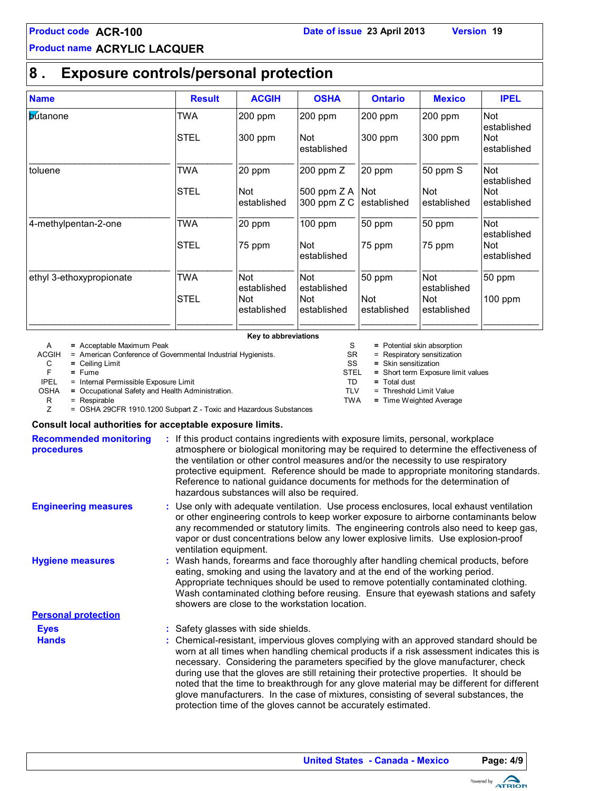## **8 . Exposure controls/personal protection**

| <b>Name</b>              | <b>Result</b> | <b>ACGIH</b>              | <b>OSHA</b>                  | <b>Ontario</b>            | <b>Mexico</b>             | <b>IPEL</b>               |
|--------------------------|---------------|---------------------------|------------------------------|---------------------------|---------------------------|---------------------------|
| butanone                 | TWA           | 200 ppm                   | 200 ppm                      | 200 ppm                   | 200 ppm                   | <b>Not</b><br>established |
|                          | <b>ISTEL</b>  | 300 ppm                   | Not<br>established           | $300$ ppm                 | 300 ppm                   | Not<br>established        |
| toluene                  | TWA           | 20 ppm                    | 200 ppm Z                    | 20 ppm                    | 50 ppm S                  | <b>Not</b><br>established |
|                          | <b>STEL</b>   | <b>Not</b><br>established | 500 ppm $Z A$<br>300 ppm Z C | <b>Not</b><br>established | <b>Not</b><br>established | Not<br>established        |
| 4-methylpentan-2-one     | TWA           | 20 ppm                    | 100 ppm                      | 50 ppm                    | 50 ppm                    | Not<br>established        |
|                          | <b>STEL</b>   | 75 ppm                    | Not<br>established           | 75 ppm                    | 75 ppm                    | Not<br>established        |
| ethyl 3-ethoxypropionate | TWA           | Not<br>established        | Not<br>established           | 50 ppm                    | Not<br>established        | 50 ppm                    |
|                          | <b>STEL</b>   | Not<br>established        | Not<br>established           | <b>Not</b><br>established | Not<br>established        | $100$ ppm                 |

**Key to abbreviations**

A **=** Acceptable Maximum Peak

ACGIH = American Conference of Governmental Industrial Hygienists.<br>
C = Ceiling Limit

C **=** Ceiling Limit

F **=** Fume

IPEL = Internal Permissible Exposure Limit

OSHA **=** Occupational Safety and Health Administration.

 $R = Respirable$ <br> $Z = OSHA 29C$ 

= OSHA 29CFR 1910.1200 Subpart Z - Toxic and Hazardous Substances

#### **Consult local authorities for acceptable exposure limits.**

| <b>Recommended monitoring</b><br>procedures | : If this product contains ingredients with exposure limits, personal, workplace<br>atmosphere or biological monitoring may be required to determine the effectiveness of<br>the ventilation or other control measures and/or the necessity to use respiratory<br>protective equipment. Reference should be made to appropriate monitoring standards.<br>Reference to national guidance documents for methods for the determination of<br>hazardous substances will also be required.                                                                                                                                  |
|---------------------------------------------|------------------------------------------------------------------------------------------------------------------------------------------------------------------------------------------------------------------------------------------------------------------------------------------------------------------------------------------------------------------------------------------------------------------------------------------------------------------------------------------------------------------------------------------------------------------------------------------------------------------------|
| <b>Engineering measures</b>                 | : Use only with adequate ventilation. Use process enclosures, local exhaust ventilation<br>or other engineering controls to keep worker exposure to airborne contaminants below<br>any recommended or statutory limits. The engineering controls also need to keep gas,<br>vapor or dust concentrations below any lower explosive limits. Use explosion-proof<br>ventilation equipment.                                                                                                                                                                                                                                |
| <b>Hygiene measures</b>                     | : Wash hands, forearms and face thoroughly after handling chemical products, before<br>eating, smoking and using the lavatory and at the end of the working period.<br>Appropriate techniques should be used to remove potentially contaminated clothing.<br>Wash contaminated clothing before reusing. Ensure that eyewash stations and safety<br>showers are close to the workstation location.                                                                                                                                                                                                                      |
| <b>Personal protection</b>                  |                                                                                                                                                                                                                                                                                                                                                                                                                                                                                                                                                                                                                        |
| <b>Eyes</b>                                 | : Safety glasses with side shields.                                                                                                                                                                                                                                                                                                                                                                                                                                                                                                                                                                                    |
| <b>Hands</b>                                | : Chemical-resistant, impervious gloves complying with an approved standard should be<br>worn at all times when handling chemical products if a risk assessment indicates this is<br>necessary. Considering the parameters specified by the glove manufacturer, check<br>during use that the gloves are still retaining their protective properties. It should be<br>noted that the time to breakthrough for any glove material may be different for different<br>glove manufacturers. In the case of mixtures, consisting of several substances, the<br>protection time of the gloves cannot be accurately estimated. |
|                                             |                                                                                                                                                                                                                                                                                                                                                                                                                                                                                                                                                                                                                        |

S = Potential skin absorption

- SR = Respiratory sensitization<br>SS = Skin sensitization
	- **=** Skin sensitization
- STEL **=** Short term Exposure limit values
- TD **=** Total dust TLV = Threshold Limit Value
- TWA **=** Time Weighted Average

Powered by **ATRION** 

**United States - Canada - Mexico Page: 4/9**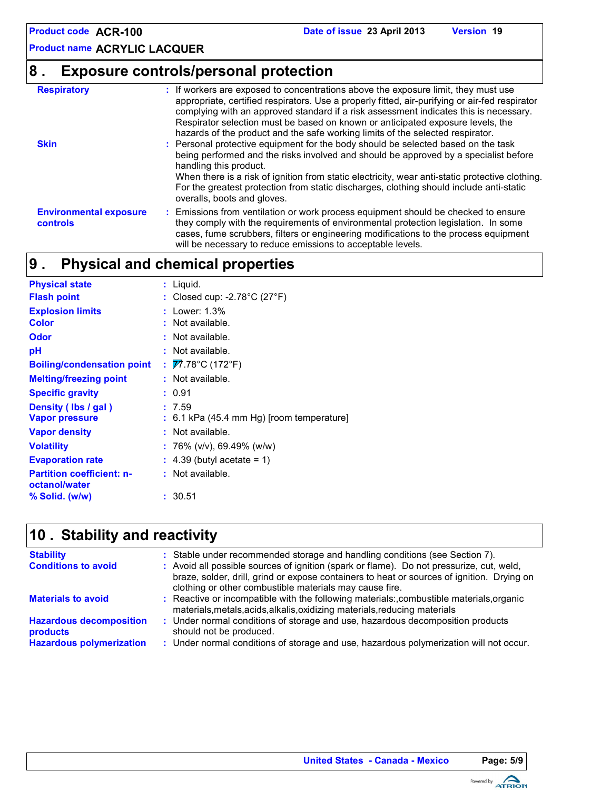# **8 . Exposure controls/personal protection**

| <b>Respiratory</b><br><b>Skin</b>         | : If workers are exposed to concentrations above the exposure limit, they must use<br>appropriate, certified respirators. Use a properly fitted, air-purifying or air-fed respirator<br>complying with an approved standard if a risk assessment indicates this is necessary.<br>Respirator selection must be based on known or anticipated exposure levels, the<br>hazards of the product and the safe working limits of the selected respirator.<br>: Personal protective equipment for the body should be selected based on the task<br>being performed and the risks involved and should be approved by a specialist before<br>handling this product.<br>When there is a risk of ignition from static electricity, wear anti-static protective clothing.<br>For the greatest protection from static discharges, clothing should include anti-static<br>overalls, boots and gloves. |
|-------------------------------------------|----------------------------------------------------------------------------------------------------------------------------------------------------------------------------------------------------------------------------------------------------------------------------------------------------------------------------------------------------------------------------------------------------------------------------------------------------------------------------------------------------------------------------------------------------------------------------------------------------------------------------------------------------------------------------------------------------------------------------------------------------------------------------------------------------------------------------------------------------------------------------------------|
| <b>Environmental exposure</b><br>controls | : Emissions from ventilation or work process equipment should be checked to ensure<br>they comply with the requirements of environmental protection legislation. In some<br>cases, fume scrubbers, filters or engineering modifications to the process equipment<br>will be necessary to reduce emissions to acceptable levels.                                                                                                                                                                                                                                                                                                                                                                                                                                                                                                                                                        |

#### **Physical and chemical properties 9 .**

| <b>Physical state</b>                             | $:$ Liquid.                                        |
|---------------------------------------------------|----------------------------------------------------|
| <b>Flash point</b>                                | : Closed cup: -2.78 $^{\circ}$ C (27 $^{\circ}$ F) |
| <b>Explosion limits</b>                           | : Lower: $1.3\%$                                   |
| <b>Color</b>                                      | : Not available.                                   |
| Odor                                              | : Not available.                                   |
| рH                                                | : Not available.                                   |
| <b>Boiling/condensation point</b>                 | : $\overline{V}$ 7.78°C (172°F)                    |
| <b>Melting/freezing point</b>                     | : Not available.                                   |
| <b>Specific gravity</b>                           | : 0.91                                             |
| Density (Ibs / gal)                               | : 7.59                                             |
| <b>Vapor pressure</b>                             | $: 6.1$ kPa (45.4 mm Hg) [room temperature]        |
| <b>Vapor density</b>                              | : Not available.                                   |
| <b>Volatility</b>                                 | : 76% (v/v), 69.49% (w/w)                          |
| <b>Evaporation rate</b>                           | $\div$ 4.39 (butyl acetate = 1)                    |
| <b>Partition coefficient: n-</b><br>octanol/water | : Not available.                                   |
| % Solid. (w/w)                                    | : 30.51                                            |

## **Stability and reactivity 10 .**

| <b>Stability</b><br><b>Conditions to avoid</b>                                | : Stable under recommended storage and handling conditions (see Section 7).<br>: Avoid all possible sources of ignition (spark or flame). Do not pressurize, cut, weld,<br>braze, solder, drill, grind or expose containers to heat or sources of ignition. Drying on<br>clothing or other combustible materials may cause fire. |
|-------------------------------------------------------------------------------|----------------------------------------------------------------------------------------------------------------------------------------------------------------------------------------------------------------------------------------------------------------------------------------------------------------------------------|
| <b>Materials to avoid</b>                                                     | : Reactive or incompatible with the following materials:,combustible materials,organic<br>materials, metals, acids, alkalis, oxidizing materials, reducing materials                                                                                                                                                             |
| <b>Hazardous decomposition</b><br>products<br><b>Hazardous polymerization</b> | : Under normal conditions of storage and use, hazardous decomposition products<br>should not be produced.<br>: Under normal conditions of storage and use, hazardous polymerization will not occur.                                                                                                                              |

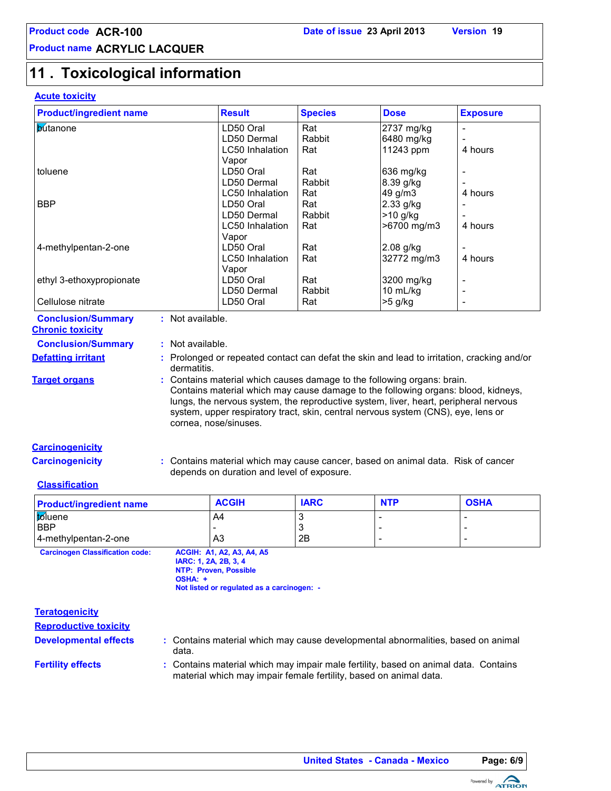# **11 . Toxicological information**

### **Acute toxicity**

| <b>Product/ingredient name</b>         |                                                                                            | <b>Result</b>                                                                        | <b>Species</b> | <b>Dose</b> | <b>Exposure</b> |  |  |  |
|----------------------------------------|--------------------------------------------------------------------------------------------|--------------------------------------------------------------------------------------|----------------|-------------|-----------------|--|--|--|
|                                        |                                                                                            |                                                                                      |                |             |                 |  |  |  |
| <b>butanone</b>                        |                                                                                            | LD50 Oral                                                                            | Rat            | 2737 mg/kg  | $\frac{1}{2}$   |  |  |  |
|                                        |                                                                                            | LD50 Dermal                                                                          | Rabbit         | 6480 mg/kg  |                 |  |  |  |
|                                        |                                                                                            | LC50 Inhalation                                                                      | Rat            | 11243 ppm   | 4 hours         |  |  |  |
|                                        |                                                                                            | Vapor                                                                                |                |             |                 |  |  |  |
| toluene                                |                                                                                            | LD50 Oral                                                                            | Rat            | 636 mg/kg   |                 |  |  |  |
|                                        |                                                                                            | LD50 Dermal                                                                          | Rabbit         | 8.39 g/kg   |                 |  |  |  |
|                                        |                                                                                            | LC50 Inhalation                                                                      | Rat            | 49 g/m3     | 4 hours         |  |  |  |
| <b>BBP</b>                             |                                                                                            | LD50 Oral                                                                            | Rat            | 2.33 g/kg   |                 |  |  |  |
|                                        |                                                                                            | LD50 Dermal                                                                          | Rabbit         | >10 g/kg    |                 |  |  |  |
|                                        |                                                                                            | LC50 Inhalation                                                                      | Rat            | >6700 mg/m3 | 4 hours         |  |  |  |
|                                        |                                                                                            | Vapor                                                                                |                |             |                 |  |  |  |
| 4-methylpentan-2-one                   |                                                                                            | LD50 Oral                                                                            | Rat            | 2.08 g/kg   |                 |  |  |  |
|                                        |                                                                                            | LC50 Inhalation                                                                      |                | 32772 mg/m3 | 4 hours         |  |  |  |
|                                        |                                                                                            |                                                                                      | Rat            |             |                 |  |  |  |
|                                        |                                                                                            | Vapor                                                                                |                |             |                 |  |  |  |
| ethyl 3-ethoxypropionate               |                                                                                            | LD50 Oral                                                                            | Rat            | 3200 mg/kg  |                 |  |  |  |
|                                        |                                                                                            | LD50 Dermal                                                                          | Rabbit         | 10 mL/kg    | $\overline{a}$  |  |  |  |
| Cellulose nitrate                      |                                                                                            | LD50 Oral                                                                            | Rat            | >5 g/kg     | $\overline{a}$  |  |  |  |
| <b>Conclusion/Summary</b>              | : Not available.                                                                           |                                                                                      |                |             |                 |  |  |  |
| <b>Chronic toxicity</b>                |                                                                                            |                                                                                      |                |             |                 |  |  |  |
| <b>Conclusion/Summary</b>              | : Not available.                                                                           |                                                                                      |                |             |                 |  |  |  |
|                                        |                                                                                            |                                                                                      |                |             |                 |  |  |  |
| <b>Defatting irritant</b>              | : Prolonged or repeated contact can defat the skin and lead to irritation, cracking and/or |                                                                                      |                |             |                 |  |  |  |
|                                        | dermatitis.                                                                                |                                                                                      |                |             |                 |  |  |  |
| <b>Target organs</b>                   |                                                                                            | : Contains material which causes damage to the following organs: brain.              |                |             |                 |  |  |  |
|                                        |                                                                                            | Contains material which may cause damage to the following organs: blood, kidneys,    |                |             |                 |  |  |  |
|                                        |                                                                                            | lungs, the nervous system, the reproductive system, liver, heart, peripheral nervous |                |             |                 |  |  |  |
|                                        |                                                                                            | system, upper respiratory tract, skin, central nervous system (CNS), eye, lens or    |                |             |                 |  |  |  |
|                                        |                                                                                            | cornea, nose/sinuses.                                                                |                |             |                 |  |  |  |
|                                        |                                                                                            |                                                                                      |                |             |                 |  |  |  |
| <b>Carcinogenicity</b>                 |                                                                                            |                                                                                      |                |             |                 |  |  |  |
| <b>Carcinogenicity</b>                 |                                                                                            | : Contains material which may cause cancer, based on animal data. Risk of cancer     |                |             |                 |  |  |  |
|                                        |                                                                                            | depends on duration and level of exposure.                                           |                |             |                 |  |  |  |
| <b>Classification</b>                  |                                                                                            |                                                                                      |                |             |                 |  |  |  |
|                                        |                                                                                            |                                                                                      |                |             |                 |  |  |  |
| <b>Product/ingredient name</b>         |                                                                                            | <b>ACGIH</b>                                                                         | <b>IARC</b>    | <b>NTP</b>  | <b>OSHA</b>     |  |  |  |
| toluene                                |                                                                                            | A4                                                                                   | 3              |             |                 |  |  |  |
| <b>BBP</b>                             |                                                                                            |                                                                                      | 3              |             |                 |  |  |  |
| 4-methylpentan-2-one                   |                                                                                            | A <sub>3</sub>                                                                       | 2B             |             |                 |  |  |  |
| <b>Carcinogen Classification code:</b> |                                                                                            | <b>ACGIH: A1, A2, A3, A4, A5</b>                                                     |                |             |                 |  |  |  |
|                                        | IARC: 1, 2A, 2B, 3, 4                                                                      |                                                                                      |                |             |                 |  |  |  |
|                                        |                                                                                            | <b>NTP: Proven, Possible</b>                                                         |                |             |                 |  |  |  |
|                                        | OSHA: +                                                                                    |                                                                                      |                |             |                 |  |  |  |
|                                        |                                                                                            | Not listed or regulated as a carcinogen: -                                           |                |             |                 |  |  |  |
|                                        |                                                                                            |                                                                                      |                |             |                 |  |  |  |
| <b>Teratogenicity</b>                  |                                                                                            |                                                                                      |                |             |                 |  |  |  |
| <b>Reproductive toxicity</b>           |                                                                                            |                                                                                      |                |             |                 |  |  |  |
|                                        |                                                                                            |                                                                                      |                |             |                 |  |  |  |
| <b>Developmental effects</b>           |                                                                                            | : Contains material which may cause developmental abnormalities, based on animal     |                |             |                 |  |  |  |
|                                        | data.                                                                                      |                                                                                      |                |             |                 |  |  |  |
| <b>Fertility effects</b>               |                                                                                            | : Contains material which may impair male fertility, based on animal data. Contains  |                |             |                 |  |  |  |
|                                        |                                                                                            | material which may impair female fertility, based on animal data.                    |                |             |                 |  |  |  |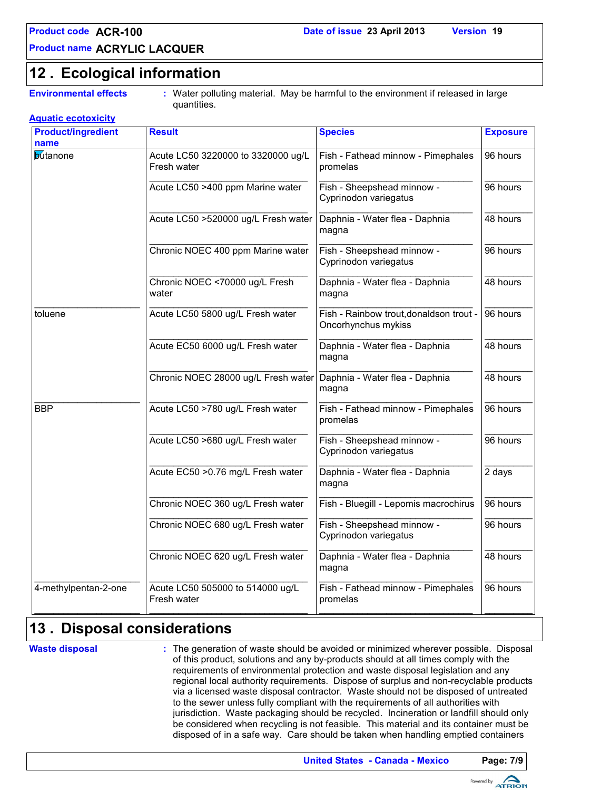### **Ecological information 12 .**

**Environmental effects :** Water polluting material. May be harmful to the environment if released in large quantities.

| <b>Product/ingredient</b> | <b>Result</b>                                     | <b>Species</b>                                                 | <b>Exposure</b> |  |
|---------------------------|---------------------------------------------------|----------------------------------------------------------------|-----------------|--|
| name<br><b>butanone</b>   | Acute LC50 3220000 to 3320000 ug/L<br>Fresh water | Fish - Fathead minnow - Pimephales<br>promelas                 | 96 hours        |  |
|                           | Acute LC50 >400 ppm Marine water                  | Fish - Sheepshead minnow -<br>Cyprinodon variegatus            | 96 hours        |  |
|                           | Acute LC50 >520000 ug/L Fresh water               | Daphnia - Water flea - Daphnia<br>magna                        | 48 hours        |  |
|                           | Chronic NOEC 400 ppm Marine water                 | Fish - Sheepshead minnow -<br>Cyprinodon variegatus            | 96 hours        |  |
|                           | Chronic NOEC <70000 ug/L Fresh<br>water           | Daphnia - Water flea - Daphnia<br>magna                        | 48 hours        |  |
| toluene                   | Acute LC50 5800 ug/L Fresh water                  | Fish - Rainbow trout, donaldson trout -<br>Oncorhynchus mykiss | 96 hours        |  |
|                           | Acute EC50 6000 ug/L Fresh water                  | Daphnia - Water flea - Daphnia<br>magna                        | 48 hours        |  |
|                           | Chronic NOEC 28000 ug/L Fresh water               | Daphnia - Water flea - Daphnia<br>magna                        | 48 hours        |  |
| <b>BBP</b>                | Acute LC50 >780 ug/L Fresh water                  | Fish - Fathead minnow - Pimephales<br>promelas                 | 96 hours        |  |
|                           | Acute LC50 >680 ug/L Fresh water                  | Fish - Sheepshead minnow -<br>Cyprinodon variegatus            | 96 hours        |  |
|                           | Acute EC50 > 0.76 mg/L Fresh water                | Daphnia - Water flea - Daphnia<br>magna                        |                 |  |
|                           | Chronic NOEC 360 ug/L Fresh water                 | Fish - Bluegill - Lepomis macrochirus                          | 96 hours        |  |
|                           | Chronic NOEC 680 ug/L Fresh water                 | Fish - Sheepshead minnow -<br>Cyprinodon variegatus            | 96 hours        |  |
|                           | Chronic NOEC 620 ug/L Fresh water                 | Daphnia - Water flea - Daphnia<br>magna                        | 48 hours        |  |
| 4-methylpentan-2-one      | Acute LC50 505000 to 514000 ug/L<br>Fresh water   | Fish - Fathead minnow - Pimephales<br>promelas                 | 96 hours        |  |

## **Disposal considerations 13 .**

**Waste disposal**

The generation of waste should be avoided or minimized wherever possible. Disposal **:** of this product, solutions and any by-products should at all times comply with the requirements of environmental protection and waste disposal legislation and any regional local authority requirements. Dispose of surplus and non-recyclable products via a licensed waste disposal contractor. Waste should not be disposed of untreated to the sewer unless fully compliant with the requirements of all authorities with jurisdiction. Waste packaging should be recycled. Incineration or landfill should only be considered when recycling is not feasible. This material and its container must be disposed of in a safe way. Care should be taken when handling emptied containers

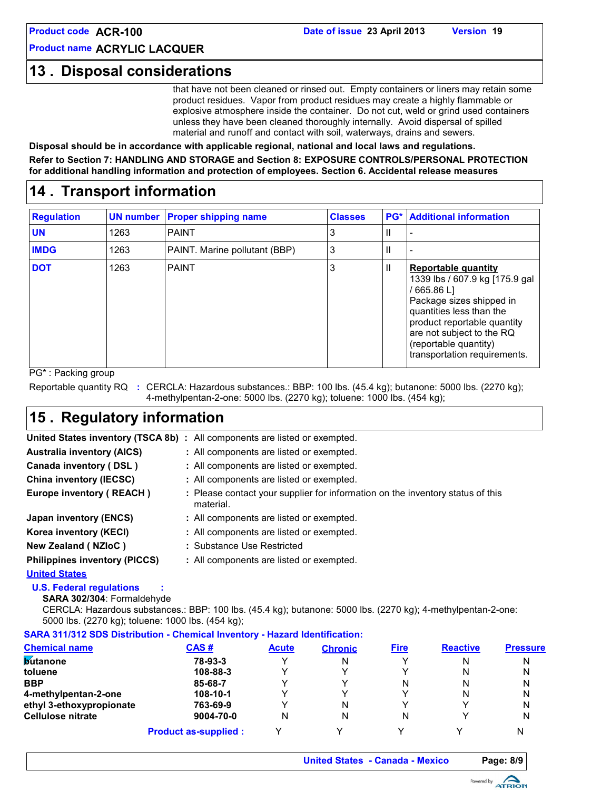### **13 . Disposal considerations**

that have not been cleaned or rinsed out. Empty containers or liners may retain some product residues. Vapor from product residues may create a highly flammable or explosive atmosphere inside the container. Do not cut, weld or grind used containers unless they have been cleaned thoroughly internally. Avoid dispersal of spilled material and runoff and contact with soil, waterways, drains and sewers.

**Disposal should be in accordance with applicable regional, national and local laws and regulations. Refer to Section 7: HANDLING AND STORAGE and Section 8: EXPOSURE CONTROLS/PERSONAL PROTECTION for additional handling information and protection of employees. Section 6. Accidental release measures**

### **14 . Transport information**

| <b>Regulation</b> | <b>UN number</b> | <b>Proper shipping name</b>   | <b>Classes</b> |   | <b>PG*</b> Additional information                                                                                                                                                                                                                         |
|-------------------|------------------|-------------------------------|----------------|---|-----------------------------------------------------------------------------------------------------------------------------------------------------------------------------------------------------------------------------------------------------------|
| <b>UN</b>         | 1263             | <b>PAINT</b>                  | 3              | Ш |                                                                                                                                                                                                                                                           |
| <b>IMDG</b>       | 1263             | PAINT. Marine pollutant (BBP) | 3              | Ш |                                                                                                                                                                                                                                                           |
| <b>DOT</b>        | 1263             | <b>PAINT</b>                  | 3              | Ш | <b>Reportable quantity</b><br>1339 lbs / 607.9 kg [175.9 gal]<br>$/665.86$ L<br>Package sizes shipped in<br>quantities less than the<br>product reportable quantity<br>are not subject to the RQ<br>(reportable quantity)<br>transportation requirements. |

PG\* : Packing group

Reportable quantity RQ : CERCLA: Hazardous substances.: BBP: 100 lbs. (45.4 kg); butanone: 5000 lbs. (2270 kg); 4-methylpentan-2-one: 5000 lbs. (2270 kg); toluene: 1000 lbs. (454 kg);

## **15 . Regulatory information**

|                                      | United States inventory (TSCA 8b) : All components are listed or exempted.                  |
|--------------------------------------|---------------------------------------------------------------------------------------------|
| <b>Australia inventory (AICS)</b>    | : All components are listed or exempted.                                                    |
| Canada inventory (DSL)               | : All components are listed or exempted.                                                    |
| <b>China inventory (IECSC)</b>       | : All components are listed or exempted.                                                    |
| Europe inventory (REACH)             | : Please contact your supplier for information on the inventory status of this<br>material. |
| Japan inventory (ENCS)               | : All components are listed or exempted.                                                    |
| Korea inventory (KECI)               | : All components are listed or exempted.                                                    |
| New Zealand (NZIoC)                  | : Substance Use Restricted                                                                  |
| <b>Philippines inventory (PICCS)</b> | : All components are listed or exempted.                                                    |
| <b>United States</b>                 |                                                                                             |

**U.S. Federal regulations :**

**SARA 302/304**: Formaldehyde

CERCLA: Hazardous substances.: BBP: 100 lbs. (45.4 kg); butanone: 5000 lbs. (2270 kg); 4-methylpentan-2-one: 5000 lbs. (2270 kg); toluene: 1000 lbs. (454 kg);

### **SARA 311/312 SDS Distribution - Chemical Inventory - Hazard Identification:**

| <b>Chemical name</b>     | CAS#                        | <b>Acute</b> | <b>Chronic</b> | <b>Fire</b> | <b>Reactive</b> | <b>Pressure</b> |
|--------------------------|-----------------------------|--------------|----------------|-------------|-----------------|-----------------|
| <b>Butanone</b>          | 78-93-3                     | Υ            | N              | v           | N               | N               |
| toluene                  | 108-88-3                    | ν            |                | v           | N               | N               |
| <b>BBP</b>               | 85-68-7                     | ν            |                | N           | N               | N               |
| 4-methylpentan-2-one     | 108-10-1                    | ◡            |                | v           | N               | N               |
| ethyl 3-ethoxypropionate | 763-69-9                    | v            | N              |             |                 | N               |
| Cellulose nitrate        | 9004-70-0                   | N            | N              | N           |                 | N               |
|                          | <b>Product as-supplied:</b> |              |                |             |                 | N               |

**United States - Canada - Mexico Page: 8/9**